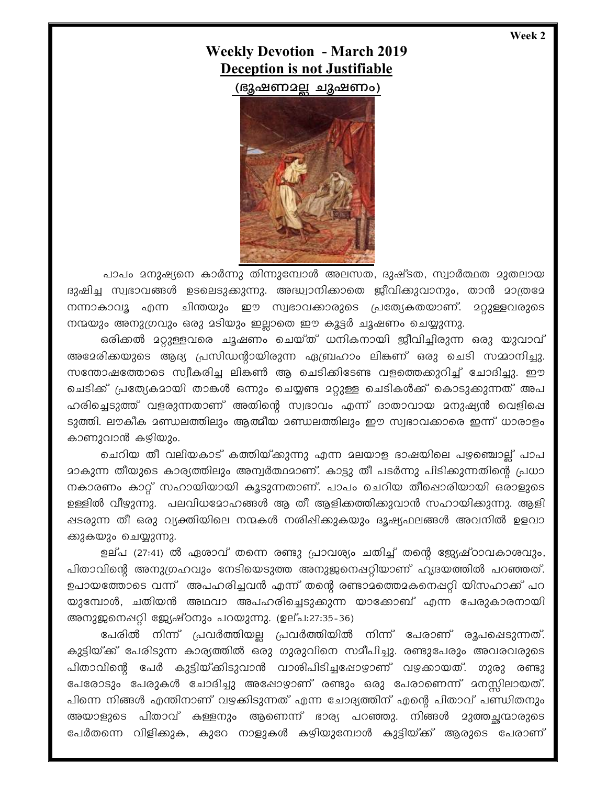Week 2

## **Weekly Devotion - March 2019 Deception is not Justifiable**

(ഭുഷണാല്ല ചുഷണം)



പാപം മനുഷ്യനെ കാർന്നു തിന്നുമ്പോൾ അലസത, ദുഷ്ടത, സ്വാർത്ഥത മുതലായ ദുഷിച്ച സ്വഭാവങ്ങൾ ഉടലെടുക്കുന്നു. അദ്ധ്വാനിക്കാതെ ജീവിക്കുവാനും, താൻ മാത്രമേ നന്നാകാവൂ എന്ന ചിന്തയും ഈ സ്വഭാവക്കാരുടെ പ്രത്യേകതയാണ്. മറ്റുള്ളവരുടെ നന്മയും അനുഗ്രവും ഒരു മടിയും ഇല്ലാതെ ഈ കൂട്ടർ ചൂഷണം ചെയ്യുന്നു.

ഒരിക്കൽ മറ്റുള്ളവരെ ചൂഷണം ചെയ്ത് ധനികനായി ജീവിച്ചിരുന്ന ഒരു യുവാവ് അമേരിക്കയുടെ ആദ്യ പ്രസിഡന്റായിരുന്ന ഏബ്രഹാം ലികണ് ഒരു ചെടി സമ്മാനിച്ചു. സന്തോഷത്തോടെ സ്വീകരിച്ച ലികൺ ആ ചെടിക്കിടേണ്ട വളത്തെക്കുറിച്ച് ചോദിച്ചു. ഈ ചെടിക്ക് പ്രത്യേകമായി താങ്കൾ ഒന്നും ചെയ്യണ്ട മറ്റുള്ള ചെടികൾക്ക് കൊടുക്കുന്നത് അപ ഹരിച്ചെടുത്ത് വളരുന്നതാണ് അതിന്റെ സ്വഭാവം എന്ന് ദാതാവായ മനുഷ്യൻ വെളിപ്പെ ടുത്തി. ലൗകീക മണ്ഡലത്തിലും ആത്മീയ മണ്ഡലത്തിലും ഈ സ്വഭാവക്കാരെ ഇന്ന് ധാരാളം കാണുവാൻ കഴിയും.

ചെറിയ തീ വലിയകാട് കത്തിയ്ക്കുന്നു എന്ന മലയാള ഭാഷയിലെ പഴഞ്ചൊല്ല് പാപ <u>മാകുന്ന തീയുടെ കാര്യത്തിലും അന്വർത്ഥമാണ്. കാട്ടു തീ പടർന്നു പിടിക്കുന്നതിന്റെ പ്രധാ</u> നകാരണം കാറ്റ് സഹായിയായി കൂടുന്നതാണ്. പാപം ചെറിയ തീഷൊരിയായി ഒരാളുടെ ഉള്ളിൽ വീഴുന്നു. പലവിധമോഹങ്ങൾ ആ തീ ആളിക്കത്തിക്കുവാൻ സഹായിക്കുന്നു. ആളി ഷടരുന്ന തീ ഒരു വ്യക്തിയിലെ നന്മകൾ നശിഷിക്കുകയും ദൂഷ്യഫലങ്ങൾ അവനിൽ ഉളവാ ക്കുകയും ചെയ്യുന്നു.

ഉല്പ (27:41) ൽ ഏശാവ് തന്നെ രണ്ടു പ്രാവശ്യം ചതിച്ച് തന്റെ ജ്യേഷ്ഠാവകാശവും, പിതാവിന്റെ അനുഗ്രഹവും നേടിയെടുത്ത അനുജനെപ്പറ്റിയാണ് ഹൃദയത്തിൽ പറഞ്ഞത്. ഉപായത്തോടെ വന്ന് അപഹരിച്ചവൻ എന്ന് തന്റെ രണ്ടാമത്തെമകനെഷറ്റി യിസഹാക്ക് പറ യുമ്പോൾ, ചതിയൻ അഥവാ അപഹരിച്ചെടുക്കുന്ന യാക്കോബ് എന്ന പേരുകാരനായി അനുജനെഷറ്റി ജ്യേഷ്ഠനും പറയുന്നു. (ഉല്പ:27:35-36)

പേരിൽ നിന്ന് പ്രവർത്തിയല്ല പ്രവർത്തിയിൽ നിന്ന് പേരാണ് രൂപപ്പെടുന്നത്. കുട്ടിയ്ക്ക് പേരിടുന്ന കാര്യത്തിൽ ഒരു ഗുരുവിനെ സമീപിച്ചു. രണ്ടുപേരും അവരവരുടെ പിതാവിന്റെ പേർ കുട്ടിയ്ക്കിടുവാൻ വാശിപിടിച്ചപ്പോഴാണ് വഴക്കായത്. ഗുരു രണ്ടു പേരോടും പേരുകൾ ചോദിച്ചു അഷോഴാണ് രണ്ടും ഒരു പേരാണെന്ന് മനസ്സിലായത്. പിന്നെ നിങ്ങൾ എന്തിനാണ് വഴക്കിടുന്നത് എന്ന ചോദ്യത്തിന് എന്റെ പിതാവ് പണ്ഡിതനും അയാളുടെ പിതാവ് കള്ളനും ആണെന്ന് ഭാര്യ പറഞ്ഞു. നിങ്ങൾ മുത്തച്ഛന്മാരുടെ പേർതന്നെ വിളിക്കുക, കുറേ നാളുകൾ കഴിയുമ്പോൾ കുട്ടിയ്ക്ക് ആരുടെ പേരാണ്